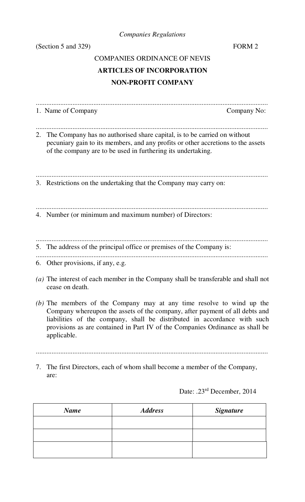*Companies Regulations*

(Section 5 and 329) FORM 2

# COMPANIES ORDINANCE OF NEVIS **ARTICLES OF INCORPORATION NON-PROFIT COMPANY**

| 1. Name of Company                                                                                                                                                                                                                                                                                                               | Company No: |
|----------------------------------------------------------------------------------------------------------------------------------------------------------------------------------------------------------------------------------------------------------------------------------------------------------------------------------|-------------|
| 2. The Company has no authorised share capital, is to be carried on without<br>pecuniary gain to its members, and any profits or other accretions to the assets<br>of the company are to be used in furthering its undertaking.                                                                                                  |             |
| 3. Restrictions on the undertaking that the Company may carry on:                                                                                                                                                                                                                                                                |             |
| 4. Number (or minimum and maximum number) of Directors:                                                                                                                                                                                                                                                                          |             |
| 5. The address of the principal office or premises of the Company is:                                                                                                                                                                                                                                                            |             |
| 6. Other provisions, if any, e.g.                                                                                                                                                                                                                                                                                                |             |
| (a) The interest of each member in the Company shall be transferable and shall not<br>cease on death.                                                                                                                                                                                                                            |             |
| (b) The members of the Company may at any time resolve to wind up the<br>Company whereupon the assets of the company, after payment of all debts and<br>liabilities of the company, shall be distributed in accordance with such<br>provisions as are contained in Part IV of the Companies Ordinance as shall be<br>applicable. |             |
|                                                                                                                                                                                                                                                                                                                                  |             |
| The first Directors, each of whom shall become a member of the Company,<br>7.<br>are:                                                                                                                                                                                                                                            |             |

Date: .23rd December, 2014

| <b>Name</b> | <b>Address</b> | <b>Signature</b> |
|-------------|----------------|------------------|
|             |                |                  |
|             |                |                  |
|             |                |                  |